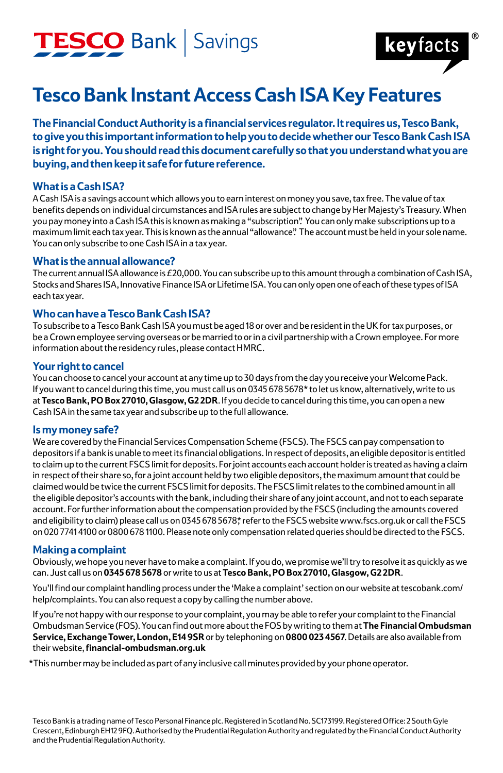## TESCO Bank | Savings



### **Tesco Bank Instant Access Cash ISA Key Features**

**The Financial Conduct Authority is a financial services regulator. It requires us, Tesco Bank, to give you this important information to help you to decide whether our Tesco Bank Cash ISA is right for you. You should read this document carefully so that you understand what you are buying, and then keep it safe for future reference.**

#### **What is a Cash ISA?**

A Cash ISA is a savings account which allows you to earn interest on money you save, tax free. The value of tax benefits depends on individual circumstances and ISA rules are subject to change by Her Majesty's Treasury. When you pay money into a Cash ISA this is known as making a "subscription". You can only make subscriptions up to a maximum limit each tax year. This is known as the annual "allowance". The account must be held in your sole name. You can only subscribe to one Cash ISA in a tax year.

#### **What is the annual allowance?**

The current annual ISA allowance is  $£20,000$ . You can subscribe up to this amount through a combination of Cash ISA, Stocks and Shares ISA, Innovative Finance ISA or Lifetime ISA. You can only open one of each of these types of ISA each tax year.

#### **Who can have a Tesco Bank Cash ISA?**

To subscribe to a Tesco Bank Cash ISA you must be aged 18 or over and be resident in the UK for tax purposes, or be a Crown employee serving overseas or be married to or in a civil partnership with a Crown employee. For more information about the residency rules, please contact HMRC.

#### **Your right to cancel**

You can choose to cancel your account at any time up to 30 days from the day you receive your Welcome Pack. If you want to cancel during this time, you must call us on 0345 678 5678\* to let us know, alternatively, write to us at **Tesco Bank, PO Box 27010, Glasgow, G2 2DR**. If you decide to cancel during this time, you can open a new Cash ISA in the same tax year and subscribe up to the full allowance.

#### **Is my money safe?**

We are covered by the Financial Services Compensation Scheme (FSCS). The FSCS can pay compensation to depositors if a bank is unable to meet its financial obligations. In respect of deposits, an eligible depositor is entitled to claim up to the current FSCS limit for deposits. For joint accounts each account holder is treated as having a claim in respect of their share so, for a joint account held by two eligible depositors, the maximum amount that could be claimed would be twice the current FSCS limit for deposits. The FSCS limit relates to the combined amount in all the eligible depositor's accounts with the bank, including their share of any joint account, and not to each separate account. For further information about the compensation provided by the FSCS (including the amounts covered and eligibility to claim) please call us on 0345 678 5678\* refer to the FSCS website www.fscs.org.uk or call the FSCS on 020 7741 4100 or 0800 678 1100. Please note only compensation related queries should be directed to the FSCS.

#### **Making a complaint**

Obviously, we hope you never have to make a complaint. If you do, we promise we'll try to resolve it as quickly as we can. Just call us on **0345 678 5678** or write to us at **Tesco Bank, PO Box 27010, Glasgow, G2 2DR**.

You'll find our complaint handling process under the 'Make a complaint' section on our website at tescobank.com/ help/complaints. You can also request a copy by calling the number above.

If you're not happy with our response to your complaint, you may be able to refer your complaint to the Financial Ombudsman Service (FOS). You can find out more about the FOS by writing to them at **The Financial Ombudsman Service, Exchange Tower, London, E14 9SR** or by telephoning on **0800 023 4567**. Details are also available from their website, **financial-ombudsman.org.uk**

\*This number may be included as part of any inclusive call minutes provided by your phone operator.

Tesco Bank is a trading name of Tesco Personal Finance plc. Registered in Scotland No. SC173199. Registered Office: 2 South Gyle Crescent, Edinburgh EH12 9FQ. Authorised by the Prudential Regulation Authority and regulated by the Financial Conduct Authority and the Prudential Regulation Authority.